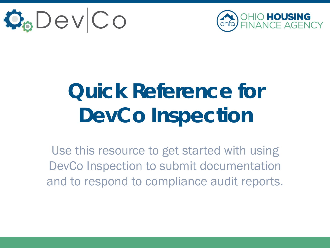



# **Quick Reference for DevCo Inspection**

Use this resource to get started with using DevCo Inspection to submit documentation and to respond to compliance audit reports.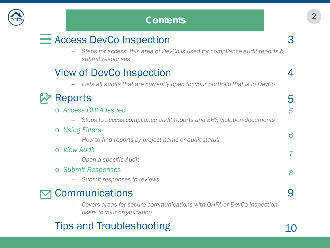

### <sup>2</sup> **Contents**

# $\equiv$  Access DevCo Inspection

– *Steps for access, this area of DevCo is used for compliance audit reports & submit responses*

## View of DevCo Inspection

– *Lists all audits that are currently open for your portfolio that is in DevCo*



#### o *Access OHFA Issued* – *Steps to access compliance audit reports and EHS violation documents* o *Using Filters* – *How to find reports by project name or audit status* o *View Audit* – *Open a specific Audit* o *Submit Responses* – *Submit responses to reviews* 5 *5 6 7 8*

#### **Communications**  $\overline{\mathbf{\Sigma}}$

– *Covers areas for secure communications with OHFA or DevCo Inspection users in your organization*

# Tips and Troubleshooting

3

4

9

10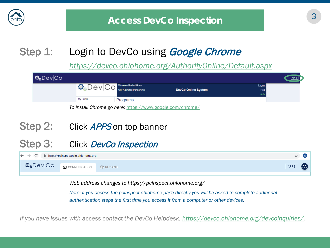

# Step 1: Login to DevCo using *Google Chrome*

*<https://devco.ohiohome.org/AuthorityOnline/Default.aspx>*



### Step 2: Click APPS on top banner

### Step 3: Click DevCo Inspection



*Web address changes to https://pcinspect.ohiohome.org/* 

*Note: if you access the pcinspect.ohiohome page directly you will be asked to complete additional authentication steps the first time you access it from a computer or other devices.*

*If you have issues with access contact the DevCo Helpdesk, [https://devco.ohiohome.org/devcoinquiries/.](https://devco.ohiohome.org/devcoinquiries/)*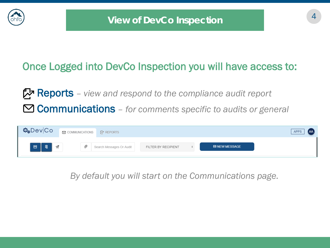

## Once Logged into DevCo Inspection you will have access to:

Reports *– view and respond to the compliance audit report* Communications *– for comments specific to audits or general*



*By default you will start on the Communications page.*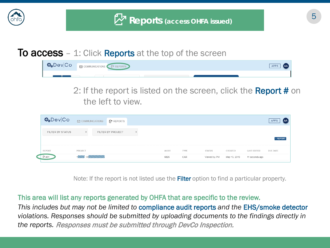

#### **To access** – 1: Click **Reports** at the top of the screen

| $\Phi_{\phi}$ Dev $ Co $ | O COMMUNICATIONS <b>A</b> REPORTS | APPS<br>$\blacksquare$ |
|--------------------------|-----------------------------------|------------------------|
|                          |                                   |                        |

2: If the report is listed on the screen, click the **Report #** on the left to view.

| Dev Co           |                       | $\oslash$ COMMUNICATIONS $\oslash$ REPORTS |  |              |      |               |              |                    |                 |
|------------------|-----------------------|--------------------------------------------|--|--------------|------|---------------|--------------|--------------------|-----------------|
| FILTER BY STATUS |                       | FILTER BY PROJECT                          |  |              |      |               |              |                    | <b>1 REPORT</b> |
| <b>REPORT</b>    | PROJECT               |                                            |  | <b>AUDIT</b> | TYPE | <b>STATUS</b> | CREATED      | <b>LAST EDITED</b> | DUE DATE        |
| ි #31            | <b>INNERS WANDERS</b> |                                            |  | 6826         | CAR  | Viewed by PM  | May 15, 2019 | 11 seconds ago     |                 |

Note: If the report is not listed use the **Filter** option to find a particular property.

#### This area will list any reports generated by OHFA that are specific to the review.

*This includes but may not be limited to* compliance audit reports *and the* EHS/smoke detector *violations. Responses should be submitted by uploading documents to the findings directly in the reports.* Responses must be submitted through DevCo Inspection.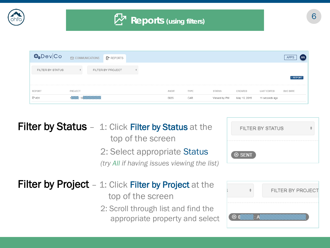

| Dev Co           | $\oslash$ COMMUNICATIONS |  | REPORTS |      |              |              |               |                |                    |          |
|------------------|--------------------------|--|---------|------|--------------|--------------|---------------|----------------|--------------------|----------|
| FILTER BY STATUS | FILTER BY PROJECT<br>÷   |  |         |      |              |              |               |                |                    |          |
| <b>REPORT</b>    | PROJECT                  |  |         |      | <b>AUDIT</b> | <b>TYPE</b>  | <b>STATUS</b> | CREATED        | <b>LAST EDITED</b> | DUE DATE |
| 2 #31            | <b>KING WANTED STARS</b> |  |         | 6826 | CAR          | Viewed by PM | May 15, 2019  | 11 seconds ago |                    |          |

| <b>Filter by Status</b> - 1: Click Filter by Status at the<br>top of the screen<br>2: Select appropriate Status<br>(try All if having issues viewing the list) | <b>⊗ SENT</b>                   | FILTER BY STATUS  |
|----------------------------------------------------------------------------------------------------------------------------------------------------------------|---------------------------------|-------------------|
| <b>Filter by Project</b> – 1: Click Filter by Project at the<br>top of the screen<br>2: Scroll through list and find the<br>appropriate property and select    | <b>6 AWAYA AWANA MARKA 20 A</b> | FILTER BY PROJECT |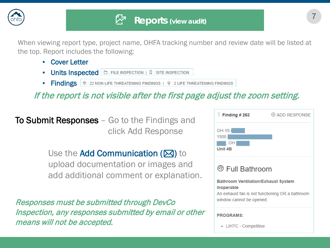

When viewing report type, project name, OHFA tracking number and review date will be listed at the top. Report includes the following:

- Cover Letter
- **Units Inspected E: FILE INSPECTION | E: SITE INSPECTION**
- Findings  $| \circledast |$  : 22 NON LIFE THREATENING FINDINGS  $| \circledast |$  2 LIFE THREATENING FINDINGS

If the report is not visible after the first page adjust the zoom setting.

**To Submit Responses** – Go to the Findings and click Add Response

> Use the Add Communication ( $\boxtimes$ ) to upload documentation or images and add additional comment or explanation.

Responses must be submitted through DevCo Inspection, any responses submitted by email or other means will not be accepted.

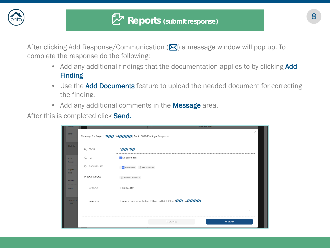

After clicking Add Response/Communication  $(\blackbox{\textbf{\textsf{M}}})$  a message window will pop up. To complete the response do the following:

- Add any additional findings that the documentation applies to by clicking **Add** Finding
- Use the **Add Documents** feature to upload the needed document for correcting the finding.
- Add any additional comments in the **Message** area.

After this is completed click Send.

| नामलामाम<br>Letter              |                 | Message for Project: 1 ANN WANNING Audit: 6826 Findings Response |                                                                  | <b>FRUGRAMO.</b><br>× |
|---------------------------------|-----------------|------------------------------------------------------------------|------------------------------------------------------------------|-----------------------|
| LETTER                          | R FROM:         | <b>BOOKS</b>                                                     |                                                                  |                       |
| CAR                             | $R^2$ TO:       | V Kimberly Smith                                                 |                                                                  |                       |
| Header<br>Inspected             | A FINDINGS: 260 | $\sqrt{\phantom{a}}$ Finding-260<br><b>E</b> ADD FINDING         |                                                                  |                       |
| <b>Units</b><br><b>Findings</b> | @ DOCUMENTS:    | (+) ADD DOCUMENTS                                                |                                                                  |                       |
| <b>Notes</b>                    | SUBJECT:        | Finding: 260                                                     |                                                                  |                       |
| <b>FINDING</b><br><b>LIST</b>   | MESSAGE:        |                                                                  | Owner response for finding 260 on audit # 6826 for 1NNN: WNNNNNN |                       |
|                                 |                 |                                                                  |                                                                  | h                     |
|                                 |                 |                                                                  | 8 CANCEL                                                         | <b>ØSEND</b>          |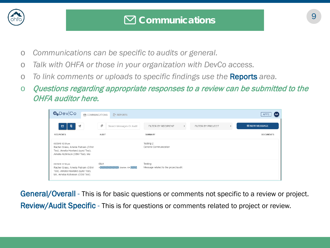

- o *Communications can be specific to audits or general.*
- o *Talk with OHFA or those in your organization with DevCo access.*
- o *To link comments or uploads to specific findings use the* Reports *area.*
- o Questions regarding appropriate responses to a review can be submitted to the OHFA auditor here.

| $\Phi_{\theta}$ Dev $ Co$                                                                                                      | COMMUNICATIONS | <b>P</b> REPORTS                         |                                                   |                   | (AA<br><b>APPS</b>   |
|--------------------------------------------------------------------------------------------------------------------------------|----------------|------------------------------------------|---------------------------------------------------|-------------------|----------------------|
| 49<br>目<br>$\mathcal{A}$                                                                                                       |                | <sup>©</sup><br>Search Messages Or Audit | FILTER BY RECIPIENT<br>$\div$                     | FILTER BY PROJECT | <b>⊠ NEW MESSAGE</b> |
| <b>RECIPIENTS</b>                                                                                                              |                | AUDIT                                    | SUMMARY                                           |                   | <b>DOCUMENTS</b>     |
| 05/29/19 12:59 pm<br>Rachel Grass, Amelia Putnam (OSM<br>Test), Amelia Howland (synd Test),<br>Amelia Atchinson (OSM Test), Me |                |                                          | Testing 2:<br>General Communication               |                   |                      |
| 05/29/19 12:58 pm<br>Rachel Grass, Amelia Putnam (OSM<br>Test), Amelia Howland (synd Test),<br>Me, Amelia Atchinson (OSM Test) |                | 6841                                     | Testing:<br>Message related to the project/audit. |                   |                      |

General/Overall - This is for basic questions or comments not specific to a review or project. Review/Audit Specific - This is for questions or comments related to project or review.